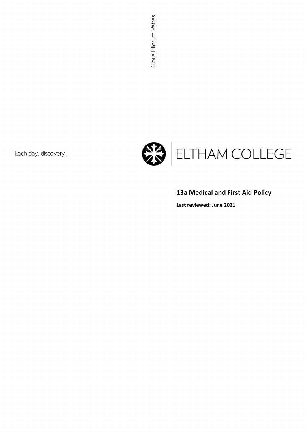Each day, discovery.



# 13a Medical and First Aid Policy

Last reviewed: June 2021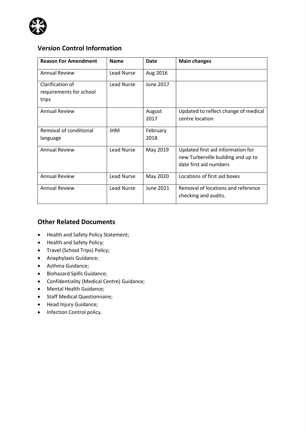

## Version Control Information

| <b>Reason For Amendment</b>                          | <b>Name</b> | Date             | <b>Main changes</b>                                                                               |
|------------------------------------------------------|-------------|------------------|---------------------------------------------------------------------------------------------------|
| <b>Annual Review</b>                                 | Lead Nurse  | Aug 2016         |                                                                                                   |
| Clarification of<br>requirements for school<br>trips | Lead Nurse  | June 2017        |                                                                                                   |
| <b>Annual Review</b>                                 |             | August<br>2017   | Updated to reflect change of medical<br>centre location                                           |
| Removal of conditional<br>language                   | <b>JHM</b>  | February<br>2018 |                                                                                                   |
| <b>Annual Review</b>                                 | Lead Nurse  | May 2019         | Updated first aid information for<br>new Turberville building and up to<br>date first aid numbers |
| <b>Annual Review</b>                                 | Lead Nurse  | May 2020         | Locations of first aid boxes                                                                      |
| <b>Annual Review</b>                                 | Lead Nurse  | June 2021        | Removal of locations and reference<br>checking and audits.                                        |

### Other Related Documents

- Health and Safety Policy Statement;
- Health and Safety Policy;
- Travel (School Trips) Policy;
- Anaphylaxis Guidance;
- Asthma Guidance;
- Biohazard Spills Guidance;
- Confidentiality (Medical Centre) Guidance;
- Mental Health Guidance;
- Staff Medical Questionnaire;
- Head Injury Guidance;
- Infection Control policy.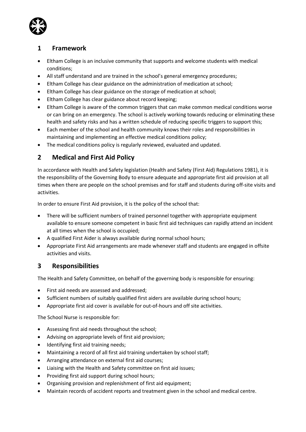

### 1 Framework

- Eltham College is an inclusive community that supports and welcome students with medical conditions;
- All staff understand and are trained in the school's general emergency procedures;
- Eltham College has clear guidance on the administration of medication at school;
- Eltham College has clear guidance on the storage of medication at school;
- Eltham College has clear guidance about record keeping;
- Eltham College is aware of the common triggers that can make common medical conditions worse or can bring on an emergency. The school is actively working towards reducing or eliminating these health and safety risks and has a written schedule of reducing specific triggers to support this;
- Each member of the school and health community knows their roles and responsibilities in maintaining and implementing an effective medical conditions policy;
- The medical conditions policy is regularly reviewed, evaluated and updated.

## 2 Medical and First Aid Policy

In accordance with Health and Safety legislation (Health and Safety (First Aid) Regulations 1981), it is the responsibility of the Governing Body to ensure adequate and appropriate first aid provision at all times when there are people on the school premises and for staff and students during off-site visits and activities.

In order to ensure First Aid provision, it is the policy of the school that:

- There will be sufficient numbers of trained personnel together with appropriate equipment available to ensure someone competent in basic first aid techniques can rapidly attend an incident at all times when the school is occupied;
- A qualified First Aider is always available during normal school hours;
- Appropriate First Aid arrangements are made whenever staff and students are engaged in offsite activities and visits.

## 3 Responsibilities

The Health and Safety Committee, on behalf of the governing body is responsible for ensuring:

- First aid needs are assessed and addressed;
- Sufficient numbers of suitably qualified first aiders are available during school hours;
- Appropriate first aid cover is available for out-of-hours and off site activities.

The School Nurse is responsible for:

- Assessing first aid needs throughout the school;
- Advising on appropriate levels of first aid provision;
- Identifying first aid training needs;
- Maintaining a record of all first aid training undertaken by school staff;
- Arranging attendance on external first aid courses;
- Liaising with the Health and Safety committee on first aid issues;
- Providing first aid support during school hours;
- Organising provision and replenishment of first aid equipment;
- Maintain records of accident reports and treatment given in the school and medical centre.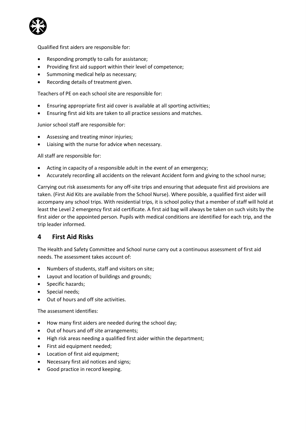ľ

Qualified first aiders are responsible for:

- Responding promptly to calls for assistance;
- Providing first aid support within their level of competence;
- Summoning medical help as necessary;
- Recording details of treatment given.

Teachers of PE on each school site are responsible for:

- Ensuring appropriate first aid cover is available at all sporting activities;
- Ensuring first aid kits are taken to all practice sessions and matches.

Junior school staff are responsible for:

- Assessing and treating minor injuries;
- Liaising with the nurse for advice when necessary.

All staff are responsible for:

- Acting in capacity of a responsible adult in the event of an emergency;
- Accurately recording all accidents on the relevant Accident form and giving to the school nurse;

Carrying out risk assessments for any off-site trips and ensuring that adequate first aid provisions are taken. (First Aid Kits are available from the School Nurse). Where possible, a qualified first aider will accompany any school trips. With residential trips, it is school policy that a member of staff will hold at least the Level 2 emergency first aid certificate. A first aid bag will always be taken on such visits by the first aider or the appointed person. Pupils with medical conditions are identified for each trip, and the trip leader informed.

### 4 First Aid Risks

The Health and Safety Committee and School nurse carry out a continuous assessment of first aid needs. The assessment takes account of:

- Numbers of students, staff and visitors on site;
- Layout and location of buildings and grounds;
- Specific hazards:
- Special needs:
- Out of hours and off site activities.

The assessment identifies:

- How many first aiders are needed during the school day;
- Out of hours and off site arrangements;
- High risk areas needing a qualified first aider within the department;
- First aid equipment needed;
- Location of first aid equipment;
- Necessary first aid notices and signs;
- Good practice in record keeping.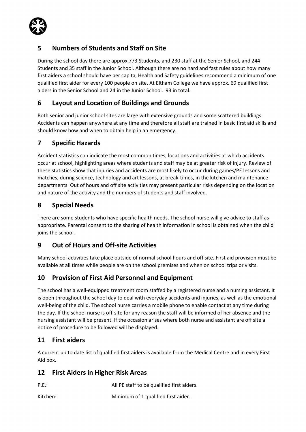

## 5 Numbers of Students and Staff on Site

During the school day there are approx.773 Students, and 230 staff at the Senior School, and 244 Students and 35 staff in the Junior School. Although there are no hard and fast rules about how many first aiders a school should have per capita, Health and Safety guidelines recommend a minimum of one qualified first aider for every 100 people on site. At Eltham College we have approx. 69 qualified first aiders in the Senior School and 24 in the Junior School. 93 in total.

## 6 Layout and Location of Buildings and Grounds

Both senior and junior school sites are large with extensive grounds and some scattered buildings. Accidents can happen anywhere at any time and therefore all staff are trained in basic first aid skills and should know how and when to obtain help in an emergency.

## 7 Specific Hazards

Accident statistics can indicate the most common times, locations and activities at which accidents occur at school, highlighting areas where students and staff may be at greater risk of injury. Review of these statistics show that injuries and accidents are most likely to occur during games/PE lessons and matches, during science, technology and art lessons, at break-times, in the kitchen and maintenance departments. Out of hours and off site activities may present particular risks depending on the location and nature of the activity and the numbers of students and staff involved.

## 8 Special Needs

There are some students who have specific health needs. The school nurse will give advice to staff as appropriate. Parental consent to the sharing of health information in school is obtained when the child joins the school.

## 9 Out of Hours and Off-site Activities

Many school activities take place outside of normal school hours and off site. First aid provision must be available at all times while people are on the school premises and when on school trips or visits.

## 10 Provision of First Aid Personnel and Equipment

The school has a well-equipped treatment room staffed by a registered nurse and a nursing assistant. It is open throughout the school day to deal with everyday accidents and injuries, as well as the emotional well-being of the child. The school nurse carries a mobile phone to enable contact at any time during the day. If the school nurse is off-site for any reason the staff will be informed of her absence and the nursing assistant will be present. If the occasion arises where both nurse and assistant are off site a notice of procedure to be followed will be displayed.

## 11 First aiders

A current up to date list of qualified first aiders is available from the Medical Centre and in every First Aid box.

## 12 First Aiders in Higher Risk Areas

P.E.: All PE staff to be qualified first aiders.

Kitchen: Minimum of 1 qualified first aider.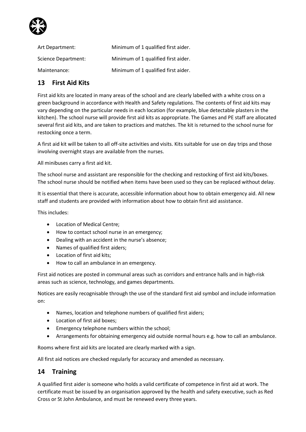

| Art Department:     | Minimum of 1 qualified first aider. |
|---------------------|-------------------------------------|
| Science Department: | Minimum of 1 qualified first aider. |
| Maintenance:        | Minimum of 1 qualified first aider. |

## 13 First Aid Kits

First aid kits are located in many areas of the school and are clearly labelled with a white cross on a green background in accordance with Health and Safety regulations. The contents of first aid kits may vary depending on the particular needs in each location (for example, blue detectable plasters in the kitchen). The school nurse will provide first aid kits as appropriate. The Games and PE staff are allocated several first aid kits, and are taken to practices and matches. The kit is returned to the school nurse for restocking once a term.

A first aid kit will be taken to all off-site activities and visits. Kits suitable for use on day trips and those involving overnight stays are available from the nurses.

All minibuses carry a first aid kit.

The school nurse and assistant are responsible for the checking and restocking of first aid kits/boxes. The school nurse should be notified when items have been used so they can be replaced without delay.

It is essential that there is accurate, accessible information about how to obtain emergency aid. All new staff and students are provided with information about how to obtain first aid assistance.

This includes:

- Location of Medical Centre;
- How to contact school nurse in an emergency;
- Dealing with an accident in the nurse's absence;
- Names of qualified first aiders;
- Location of first aid kits:
- How to call an ambulance in an emergency.

First aid notices are posted in communal areas such as corridors and entrance halls and in high-risk areas such as science, technology, and games departments.

Notices are easily recognisable through the use of the standard first aid symbol and include information on:

- Names, location and telephone numbers of qualified first aiders;
- Location of first aid boxes;
- **Emergency telephone numbers within the school;**
- Arrangements for obtaining emergency aid outside normal hours e.g. how to call an ambulance.

Rooms where first aid kits are located are clearly marked with a sign.

All first aid notices are checked regularly for accuracy and amended as necessary.

### 14 Training

A qualified first aider is someone who holds a valid certificate of competence in first aid at work. The certificate must be issued by an organisation approved by the health and safety executive, such as Red Cross or St John Ambulance, and must be renewed every three years.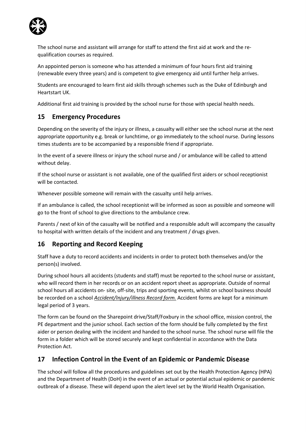

The school nurse and assistant will arrange for staff to attend the first aid at work and the requalification courses as required.

An appointed person is someone who has attended a minimum of four hours first aid training (renewable every three years) and is competent to give emergency aid until further help arrives.

Students are encouraged to learn first aid skills through schemes such as the Duke of Edinburgh and Heartstart UK.

Additional first aid training is provided by the school nurse for those with special health needs.

### 15 Emergency Procedures

Depending on the severity of the injury or illness, a casualty will either see the school nurse at the next appropriate opportunity e.g. break or lunchtime, or go immediately to the school nurse. During lessons times students are to be accompanied by a responsible friend if appropriate.

In the event of a severe illness or injury the school nurse and / or ambulance will be called to attend without delay.

If the school nurse or assistant is not available, one of the qualified first aiders or school receptionist will be contacted.

Whenever possible someone will remain with the casualty until help arrives.

If an ambulance is called, the school receptionist will be informed as soon as possible and someone will go to the front of school to give directions to the ambulance crew.

Parents / next of kin of the casualty will be notified and a responsible adult will accompany the casualty to hospital with written details of the incident and any treatment / drugs given.

## 16 Reporting and Record Keeping

Staff have a duty to record accidents and incidents in order to protect both themselves and/or the person(s) involved.

During school hours all accidents (students and staff) must be reported to the school nurse or assistant, who will record them in her records or on an accident report sheet as appropriate. Outside of normal school hours all accidents on- site, off-site, trips and sporting events, whilst on school business should be recorded on a school Accident/Injury/illness Record form. Accident forms are kept for a minimum legal period of 3 years.

The form can be found on the Sharepoint drive/Staff/Foxbury in the school office, mission control, the PE department and the junior school. Each section of the form should be fully completed by the first aider or person dealing with the incident and handed to the school nurse. The school nurse will file the form in a folder which will be stored securely and kept confidential in accordance with the Data Protection Act.

## 17 Infection Control in the Event of an Epidemic or Pandemic Disease

The school will follow all the procedures and guidelines set out by the Health Protection Agency (HPA) and the Department of Health (DoH) in the event of an actual or potential actual epidemic or pandemic outbreak of a disease. These will depend upon the alert level set by the World Health Organisation.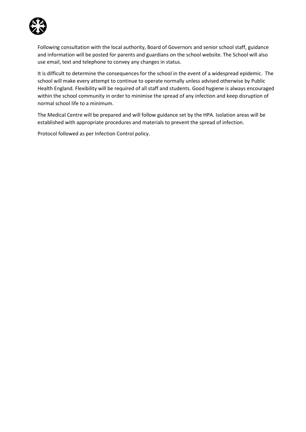

Following consultation with the local authority, Board of Governors and senior school staff, guidance and information will be posted for parents and guardians on the school website. The School will also use email, text and telephone to convey any changes in status.

It is difficult to determine the consequences for the school in the event of a widespread epidemic. The school will make every attempt to continue to operate normally unless advised otherwise by Public Health England. Flexibility will be required of all staff and students. Good hygiene is always encouraged within the school community in order to minimise the spread of any infection and keep disruption of normal school life to a minimum.

The Medical Centre will be prepared and will follow guidance set by the HPA. Isolation areas will be established with appropriate procedures and materials to prevent the spread of infection.

Protocol followed as per Infection Control policy.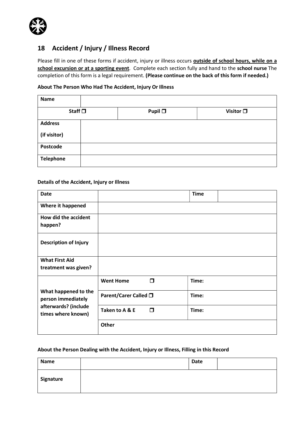

### 18 Accident / Injury / Illness Record

Please fill in one of these forms if accident, injury or illness occurs **outside of school hours, while on a** school excursion or at a sporting event. Complete each section fully and hand to the school nurse The completion of this form is a legal requirement. (Please continue on the back of this form if needed.)

#### About The Person Who Had The Accident, Injury Or Illness

| <b>Name</b>      |                 |                   |
|------------------|-----------------|-------------------|
| Staff $\square$  | Pupil $\square$ | Visitor $\square$ |
| <b>Address</b>   |                 |                   |
| (if visitor)     |                 |                   |
| Postcode         |                 |                   |
| <b>Telephone</b> |                 |                   |

### Details of the Accident, Injury or Illness

| <b>Date</b>                                                                              |                       | <b>Time</b> |  |
|------------------------------------------------------------------------------------------|-----------------------|-------------|--|
| Where it happened                                                                        |                       |             |  |
| How did the accident<br>happen?                                                          |                       |             |  |
| <b>Description of Injury</b>                                                             |                       |             |  |
| <b>What First Aid</b>                                                                    |                       |             |  |
| treatment was given?                                                                     |                       |             |  |
|                                                                                          | α<br><b>Went Home</b> | Time:       |  |
| What happened to the<br>person immediately<br>afterwards? (include<br>times where known) | Parent/Carer Called □ | Time:       |  |
|                                                                                          | Π<br>Taken to A & E   | Time:       |  |
|                                                                                          | Other                 |             |  |

### About the Person Dealing with the Accident, Injury or Illness, Filling in this Record

| Name      | <b>Date</b> |  |
|-----------|-------------|--|
| Signature |             |  |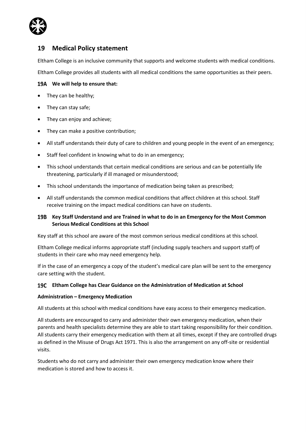

### 19 Medical Policy statement

Eltham College is an inclusive community that supports and welcome students with medical conditions.

Eltham College provides all students with all medical conditions the same opportunities as their peers.

### 19A We will help to ensure that:

- They can be healthy;
- They can stay safe;
- They can enjoy and achieve;
- They can make a positive contribution;
- All staff understands their duty of care to children and young people in the event of an emergency;
- Staff feel confident in knowing what to do in an emergency;
- This school understands that certain medical conditions are serious and can be potentially life threatening, particularly if ill managed or misunderstood;
- This school understands the importance of medication being taken as prescribed;
- All staff understands the common medical conditions that affect children at this school. Staff receive training on the impact medical conditions can have on students.

### 19B Key Staff Understand and are Trained in what to do in an Emergency for the Most Common Serious Medical Conditions at this School

Key staff at this school are aware of the most common serious medical conditions at this school.

Eltham College medical informs appropriate staff (including supply teachers and support staff) of students in their care who may need emergency help.

If in the case of an emergency a copy of the student's medical care plan will be sent to the emergency care setting with the student.

#### Eltham College has Clear Guidance on the Administration of Medication at School

#### Administration – Emergency Medication

All students at this school with medical conditions have easy access to their emergency medication.

All students are encouraged to carry and administer their own emergency medication, when their parents and health specialists determine they are able to start taking responsibility for their condition. All students carry their emergency medication with them at all times, except if they are controlled drugs as defined in the Misuse of Drugs Act 1971. This is also the arrangement on any off-site or residential visits.

Students who do not carry and administer their own emergency medication know where their medication is stored and how to access it.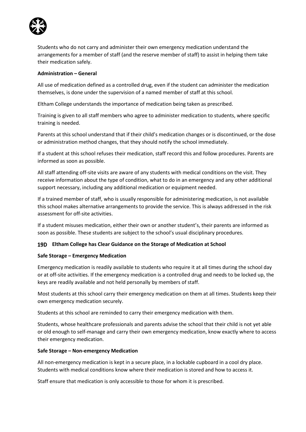

Students who do not carry and administer their own emergency medication understand the arrangements for a member of staff (and the reserve member of staff) to assist in helping them take their medication safely.

### Administration – General

All use of medication defined as a controlled drug, even if the student can administer the medication themselves, is done under the supervision of a named member of staff at this school.

Eltham College understands the importance of medication being taken as prescribed.

Training is given to all staff members who agree to administer medication to students, where specific training is needed.

Parents at this school understand that if their child's medication changes or is discontinued, or the dose or administration method changes, that they should notify the school immediately.

If a student at this school refuses their medication, staff record this and follow procedures. Parents are informed as soon as possible.

All staff attending off-site visits are aware of any students with medical conditions on the visit. They receive information about the type of condition, what to do in an emergency and any other additional support necessary, including any additional medication or equipment needed.

If a trained member of staff, who is usually responsible for administering medication, is not available this school makes alternative arrangements to provide the service. This is always addressed in the risk assessment for off-site activities.

If a student misuses medication, either their own or another student's, their parents are informed as soon as possible. These students are subject to the school's usual disciplinary procedures.

### Eltham College has Clear Guidance on the Storage of Medication at School

#### Safe Storage – Emergency Medication

Emergency medication is readily available to students who require it at all times during the school day or at off-site activities. If the emergency medication is a controlled drug and needs to be locked up, the keys are readily available and not held personally by members of staff.

Most students at this school carry their emergency medication on them at all times. Students keep their own emergency medication securely.

Students at this school are reminded to carry their emergency medication with them.

Students, whose healthcare professionals and parents advise the school that their child is not yet able or old enough to self-manage and carry their own emergency medication, know exactly where to access their emergency medication.

#### Safe Storage – Non-emergency Medication

All non-emergency medication is kept in a secure place, in a lockable cupboard in a cool dry place. Students with medical conditions know where their medication is stored and how to access it.

Staff ensure that medication is only accessible to those for whom it is prescribed.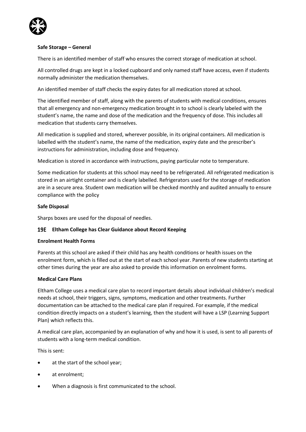

### Safe Storage – General

There is an identified member of staff who ensures the correct storage of medication at school.

All controlled drugs are kept in a locked cupboard and only named staff have access, even if students normally administer the medication themselves.

An identified member of staff checks the expiry dates for all medication stored at school.

The identified member of staff, along with the parents of students with medical conditions, ensures that all emergency and non-emergency medication brought in to school is clearly labeled with the student's name, the name and dose of the medication and the frequency of dose. This includes all medication that students carry themselves.

All medication is supplied and stored, wherever possible, in its original containers. All medication is labelled with the student's name, the name of the medication, expiry date and the prescriber's instructions for administration, including dose and frequency.

Medication is stored in accordance with instructions, paying particular note to temperature.

Some medication for students at this school may need to be refrigerated. All refrigerated medication is stored in an airtight container and is clearly labelled. Refrigerators used for the storage of medication are in a secure area. Student own medication will be checked monthly and audited annually to ensure compliance with the policy

### Safe Disposal

Sharps boxes are used for the disposal of needles.

### 19E Eltham College has Clear Guidance about Record Keeping

#### Enrolment Health Forms

Parents at this school are asked if their child has any health conditions or health issues on the enrolment form, which is filled out at the start of each school year. Parents of new students starting at other times during the year are also asked to provide this information on enrolment forms.

### Medical Care Plans

Eltham College uses a medical care plan to record important details about individual children's medical needs at school, their triggers, signs, symptoms, medication and other treatments. Further documentation can be attached to the medical care plan if required. For example, if the medical condition directly impacts on a student's learning, then the student will have a LSP (Learning Support Plan) which reflects this.

A medical care plan, accompanied by an explanation of why and how it is used, is sent to all parents of students with a long-term medical condition.

This is sent:

- at the start of the school year;
- at enrolment;
- When a diagnosis is first communicated to the school.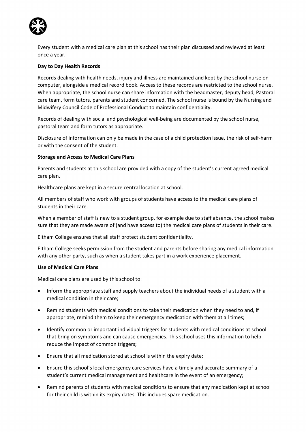

Every student with a medical care plan at this school has their plan discussed and reviewed at least once a year.

### Day to Day Health Records

Records dealing with health needs, injury and illness are maintained and kept by the school nurse on computer, alongside a medical record book. Access to these records are restricted to the school nurse. When appropriate, the school nurse can share information with the headmaster, deputy head, Pastoral care team, form tutors, parents and student concerned. The school nurse is bound by the Nursing and Midwifery Council Code of Professional Conduct to maintain confidentiality.

Records of dealing with social and psychological well-being are documented by the school nurse, pastoral team and form tutors as appropriate.

Disclosure of information can only be made in the case of a child protection issue, the risk of self-harm or with the consent of the student.

#### Storage and Access to Medical Care Plans

Parents and students at this school are provided with a copy of the student's current agreed medical care plan.

Healthcare plans are kept in a secure central location at school.

All members of staff who work with groups of students have access to the medical care plans of students in their care.

When a member of staff is new to a student group, for example due to staff absence, the school makes sure that they are made aware of (and have access to) the medical care plans of students in their care.

Eltham College ensures that all staff protect student confidentiality.

Eltham College seeks permission from the student and parents before sharing any medical information with any other party, such as when a student takes part in a work experience placement.

#### Use of Medical Care Plans

Medical care plans are used by this school to:

- Inform the appropriate staff and supply teachers about the individual needs of a student with a medical condition in their care;
- Remind students with medical conditions to take their medication when they need to and, if appropriate, remind them to keep their emergency medication with them at all times;
- Identify common or important individual triggers for students with medical conditions at school that bring on symptoms and can cause emergencies. This school uses this information to help reduce the impact of common triggers;
- Ensure that all medication stored at school is within the expiry date;
- Ensure this school's local emergency care services have a timely and accurate summary of a student's current medical management and healthcare in the event of an emergency;
- Remind parents of students with medical conditions to ensure that any medication kept at school for their child is within its expiry dates. This includes spare medication.